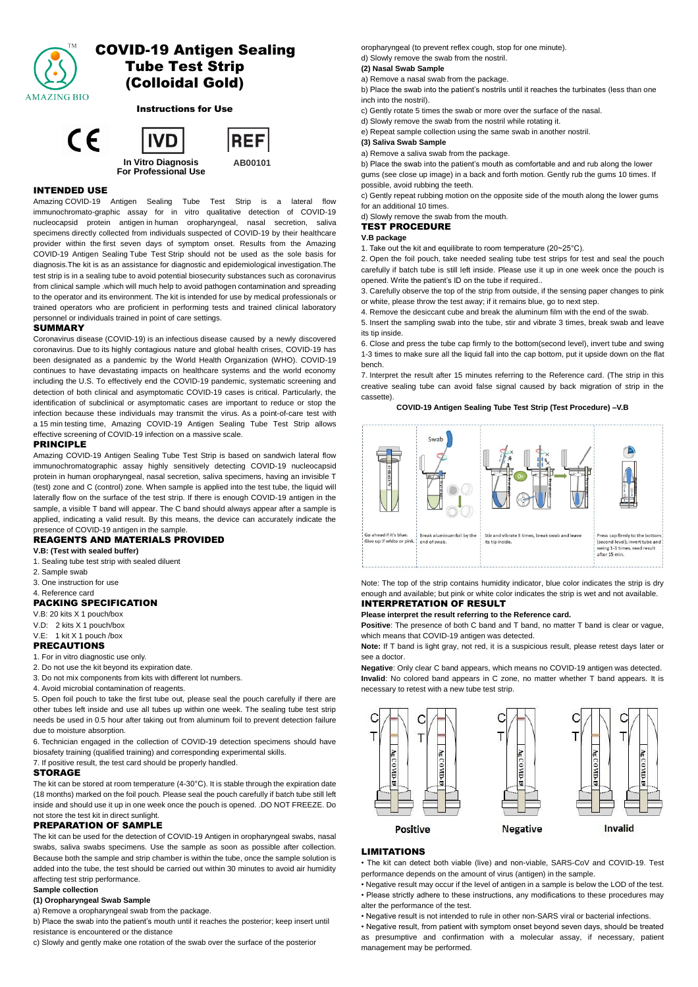

# COVID-19 Antigen Sealing Tube Test Strip (Colloidal Gold)

Instructions for Use



# INTENDED USE

Amazing COVID-19 Antigen Sealing Tube Test Strip is a lateral flow immunochromato-graphic assay for in vitro qualitative detection of COVID-19 nucleocapsid protein antigen in human oropharyngeal, nasal secretion, saliva specimens directly collected from individuals suspected of COVID-19 by their healthcare provider within the first seven days of symptom onset. Results from the Amazing COVID-19 Antigen Sealing Tube Test Strip should not be used as the sole basis for diagnosis.The kit is as an assistance for diagnostic and epidemiological investigation.The test strip is in a sealing tube to avoid potential biosecurity substances such as coronavirus from clinical sample .which will much help to avoid pathogen contamination and spreading to the operator and its environment. The kit is intended for use by medical professionals or trained operators who are proficient in performing tests and trained clinical laboratory personnel or individuals trained in point of care settings.

### SUMMARY

Coronavirus disease (COVID-19) is an infectious disease caused by a newly discovered coronavirus. Due to its highly contagious nature and global health crises, COVID-19 has been designated as a pandemic by the World Health Organization (WHO). COVID-19 continues to have devastating impacts on healthcare systems and the world economy including the U.S. To effectively end the COVID-19 pandemic, systematic screening and detection of both clinical and asymptomatic COVID-19 cases is critical. Particularly, the identification of subclinical or asymptomatic cases are important to reduce or stop the infection because these individuals may transmit the virus. As a point-of-care test with a 15 min testing time, Amazing COVID-19 Antigen Sealing Tube Test Strip allows effective screening of COVID-19 infection on a massive scale.

### PRINCIPLE

Amazing COVID-19 Antigen Sealing Tube Test Strip is based on sandwich lateral flow immunochromatographic assay highly sensitively detecting COVID-19 nucleocapsid protein in human oropharyngeal, nasal secretion, saliva specimens, having an invisible T (test) zone and C (control) zone. When sample is applied into the test tube, the liquid will laterally flow on the surface of the test strip. If there is enough COVID-19 antigen in the sample, a visible T band will appear. The C band should always appear after a sample is applied, indicating a valid result. By this means, the device can accurately indicate the presence of COVID-19 antigen in the sample.

# REAGENTS AND MATERIALS PROVIDED

**V.B: (Test with sealed buffer)**

- 1. Sealing tube test strip with sealed diluent
- 2. Sample swab
- 3. One instruction for use
- 4. Reference card

# PACKING SPECIFICATION

V.B: 20 kits X 1 pouch/box

V.D: 2 kits X 1 pouch/box

#### V.E: 1 kit X 1 pouch /box PRECAUTIONS

1. For in vitro diagnostic use only.

- 2. Do not use the kit beyond its expiration date.
- 3. Do not mix components from kits with different lot numbers.
- 4. Avoid microbial contamination of reagents.

5. Open foil pouch to take the first tube out, please seal the pouch carefully if there are other tubes left inside and use all tubes up within one week. The sealing tube test strip needs be used in 0.5 hour after taking out from aluminum foil to prevent detection failure due to moisture absorption.

6. Technician engaged in the collection of COVID-19 detection specimens should have biosafety training (qualified training) and corresponding experimental skills.

7. If positive result, the test card should be properly handled.

### STORAGE

The kit can be stored at room temperature (4-30°C). It is stable through the expiration date (18 months) marked on the foil pouch. Please seal the pouch carefully if batch tube still left inside and should use it up in one week once the pouch is opened. .DO NOT FREEZE. Do not store the test kit in direct sunlight.

# PREPARATION OF SAMPLE

The kit can be used for the detection of COVID-19 Antigen in oropharyngeal swabs, nasal swabs, saliva swabs specimens. Use the sample as soon as possible after collection. Because both the sample and strip chamber is within the tube, once the sample solution is added into the tube, the test should be carried out within 30 minutes to avoid air humidity affecting test strip performance.

#### **Sample collection**

#### **(1) Oropharyngeal Swab Sample**

a) Remove a oropharyngeal swab from the package.

b) Place the swab into the patient's mouth until it reaches the posterior; keep insert until resistance is encountered or the distance

c) Slowly and gently make one rotation of the swab over the surface of the posterior

oropharyngeal (to prevent reflex cough, stop for one minute). d) Slowly remove the swab from the nostril.

### **(2) Nasal Swab Sample**

a) Remove a nasal swab from the package.

b) Place the swab into the patient's nostrils until it reaches the turbinates (less than one inch into the nostril).

- c) Gently rotate 5 times the swab or more over the surface of the nasal.
- d) Slowly remove the swab from the nostril while rotating it.

e) Repeat sample collection using the same swab in another nostril.

#### **(3) Saliva Swab Sample**

a) Remove a saliva swab from the package.

b) Place the swab into the patient's mouth as comfortable and and rub along the lower gums (see close up image) in a back and forth motion. Gently rub the gums 10 times. If possible, avoid rubbing the teeth.

c) Gently repeat rubbing motion on the opposite side of the mouth along the lower gums for an additional 10 times.

d) Slowly remove the swab from the mouth.

# TEST PROCEDURE

**V.B package**

1. Take out the kit and equilibrate to room temperature (20~25°C).

2. Open the foil pouch, take needed sealing tube test strips for test and seal the pouch carefully if batch tube is still left inside. Please use it up in one week once the pouch is opened. Write the patient's ID on the tube if required..

3. Carefully observe the top of the strip from outside, if the sensing paper changes to pink or white, please throw the test away; if it remains blue, go to next step.

4. Remove the desiccant cube and break the aluminum film with the end of the swab.

5. Insert the sampling swab into the tube, stir and vibrate 3 times, break swab and leave its tip inside.

6. Close and press the tube cap firmly to the bottom(second level), invert tube and swing 1-3 times to make sure all the liquid fall into the cap bottom, put it upside down on the flat bench.

7. Interpret the result after 15 minutes referring to the Reference card. (The strip in this creative sealing tube can avoid false signal caused by back migration of strip in the cassette).

**COVID-19 Antigen Sealing Tube Test Strip (Test Procedure) –V.B** 



Note: The top of the strip contains humidity indicator, blue color indicates the strip is dry enough and available; but pink or white color indicates the strip is wet and not available. INTERPRETATION OF RESULT

# **Please interpret the result referring to the Reference card.**

Positive: The presence of both C band and T band, no matter T band is clear or vague,

which means that COVID-19 antigen was detected. **Note:** If T band is light gray, not red, it is a suspicious result, please retest days later or

see a doctor.

**Negative**: Only clear C band appears, which means no COVID-19 antigen was detected. **Invalid**: No colored band appears in C zone, no matter whether T band appears. It is necessary to retest with a new tube test strip.



### LIMITATIONS

• The kit can detect both viable (live) and non-viable, SARS-CoV and COVID-19. Test performance depends on the amount of virus (antigen) in the sample.

• Negative result may occur if the level of antigen in a sample is below the LOD of the test. • Please strictly adhere to these instructions, any modifications to these procedures may alter the performance of the test.

• Negative result is not intended to rule in other non-SARS viral or bacterial infections.

• Negative result, from patient with symptom onset beyond seven days, should be treated as presumptive and confirmation with a molecular assay, if necessary, patient management may be performed.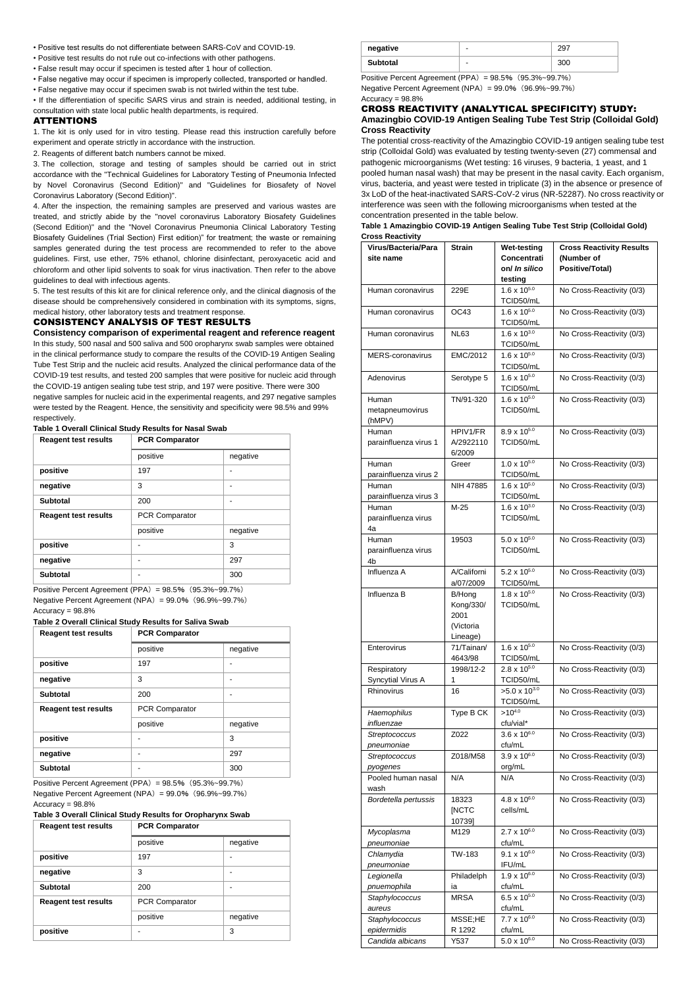- Positive test results do not differentiate between SARS-CoV and COVID-19.
- Positive test results do not rule out co-infections with other pathogens.
- False result may occur if specimen is tested after 1 hour of collection.
- False negative may occur if specimen is improperly collected, transported or handled.
- False negative may occur if specimen swab is not twirled within the test tube.

• If the differentiation of specific SARS virus and strain is needed, additional testing, in consultation with state local public health departments, is required.

#### ATTENTIONS

1. The kit is only used for in vitro testing. Please read this instruction carefully before experiment and operate strictly in accordance with the instruction.

2. Reagents of different batch numbers cannot be mixed.

3. The collection, storage and testing of samples should be carried out in strict accordance with the "Technical Guidelines for Laboratory Testing of Pneumonia Infected by Novel Coronavirus (Second Edition)" and "Guidelines for Biosafety of Novel Coronavirus Laboratory (Second Edition)".

4. After the inspection, the remaining samples are preserved and various wastes are treated, and strictly abide by the "novel coronavirus Laboratory Biosafety Guidelines (Second Edition)" and the "Novel Coronavirus Pneumonia Clinical Laboratory Testing Biosafety Guidelines (Trial Section) First edition)" for treatment; the waste or remaining samples generated during the test process are recommended to refer to the above guidelines. First, use ether, 75% ethanol, chlorine disinfectant, peroxyacetic acid and chloroform and other lipid solvents to soak for virus inactivation. Then refer to the above guidelines to deal with infectious agents.

5. The test results of this kit are for clinical reference only, and the clinical diagnosis of the disease should be comprehensively considered in combination with its symptoms, signs, medical history, other laboratory tests and treatment response.

# CONSISTENCY ANALYSIS OF TEST RESULTS

**Consistency comparison of experimental reagent and reference reagent** In this study, 500 nasal and 500 saliva and 500 oropharynx swab samples were obtained in the clinical performance study to compare the results of the COVID-19 Antigen Sealing Tube Test Strip and the nucleic acid results. Analyzed the clinical performance data of the COVID-19 test results, and tested 200 samples that were positive for nucleic acid through the COVID-19 antigen sealing tube test strip, and 197 were positive. There were 300 negative samples for nucleic acid in the experimental reagents, and 297 negative samples were tested by the Reagent. Hence, the sensitivity and specificity were 98.5% and 99% respectively.

#### **Table 1 Overall Clinical Study Results for Nasal Swab**

| <b>Reagent test results</b> | <b>PCR Comparator</b> |          |
|-----------------------------|-----------------------|----------|
|                             | positive              | negative |
| positive                    | 197                   |          |
| negative                    | 3                     |          |
| Subtotal                    | 200                   |          |
| <b>Reagent test results</b> | <b>PCR Comparator</b> |          |
|                             | positive              | negative |
| positive                    |                       | 3        |
| negative                    | ۰                     | 297      |
| Subtotal                    | ۰                     | 300      |

Positive Percent Agreement (PPA) =  $98.5\%$  (95.3%~99.7%) Negative Percent Agreement (NPA)= 99.0%(96.9%~99.7%) Accuracy = 98.8%

# **Table 2 Overall Clinical Study Results for Saliva Swab**

| <b>Reagent test results</b> | <b>PCR Comparator</b> |          |  |  |
|-----------------------------|-----------------------|----------|--|--|
|                             | positive              | negative |  |  |
| positive                    | 197                   |          |  |  |
| negative                    | 3                     |          |  |  |
| <b>Subtotal</b>             | 200                   |          |  |  |
| <b>Reagent test results</b> | <b>PCR Comparator</b> |          |  |  |
|                             | positive              | negative |  |  |
| positive                    |                       | 3        |  |  |
| negative                    | -                     | 297      |  |  |
| <b>Subtotal</b>             | ۰                     | 300      |  |  |

Positive Percent Agreement (PPA)= 98.5%(95.3%~99.7%) Negative Percent Agreement (NPA)= 99.0%(96.9%~99.7%) Accuracy = 98.8%

### **Table 3 Overall Clinical Study Results for Oropharynx Swab**

| <b>Reagent test results</b> | <b>PCR Comparator</b> |          |
|-----------------------------|-----------------------|----------|
|                             | positive              | negative |
| positive                    | 197                   |          |
| negative                    | 3                     | ٠        |
| Subtotal                    | 200                   |          |
| <b>Reagent test results</b> | <b>PCR Comparator</b> |          |
|                             | positive              | negative |
| positive                    |                       | 3        |

| negative | ۰ |  |
|----------|---|--|
| Subtotal | ٠ |  |

Positive Percent Agreement  $(PPA) = 98.5\%$  (95.3%~99.7%) Negative Percent Agreement (NPA)= 99.0%(96.9%~99.7%)  $Accuracy = 98.8%$ 

### CROSS REACTIVITY (ANALYTICAL SPECIFICITY) STUDY: **Amazingbio COVID-19 Antigen Sealing Tube Test Strip (Colloidal Gold) Cross Reactivity**

The potential cross-reactivity of the Amazingbio COVID-19 antigen sealing tube test strip (Colloidal Gold) was evaluated by testing twenty-seven (27) commensal and pathogenic microorganisms (Wet testing: 16 viruses, 9 bacteria, 1 yeast, and 1 pooled human nasal wash) that may be present in the nasal cavity. Each organism, virus, bacteria, and yeast were tested in triplicate (3) in the absence or presence of 3x LoD of the heat-inactivated SARS-CoV-2 virus (NR-52287). No cross reactivity or interference was seen with the following microorganisms when tested at the concentration presented in the table below.

#### **Table 1 Amazingbio COVID-19 Antigen Sealing Tube Test Strip (Colloidal Gold) Cross Reactivity**

| Virus/Bacteria/Para<br>site name   | <b>Strain</b>                                        | Wet-testing<br>Concentrati<br>on/ In silico<br>testing | <b>Cross Reactivity Results</b><br>(Number of<br>Positive/Total) |
|------------------------------------|------------------------------------------------------|--------------------------------------------------------|------------------------------------------------------------------|
| Human coronavirus                  | 229E                                                 | $1.6 \times 10^{5.0}$<br>TCID50/mL                     | No Cross-Reactivity (0/3)                                        |
| Human coronavirus                  | OC43                                                 | $1.6 \times 10^{5.0}$<br>TCID50/mL                     | No Cross-Reactivity (0/3)                                        |
| Human coronavirus                  | NL63                                                 | $1.6 \times 10^{3.0}$<br>TCID50/mL                     | No Cross-Reactivity (0/3)                                        |
| MERS-coronavirus                   | EMC/2012                                             | $1.6 \times 10^{5.0}$<br>TCID50/mL                     | No Cross-Reactivity (0/3)                                        |
| Adenovirus                         | Serotype 5                                           | $1.6 \times 10^{5.0}$<br>TCID50/mL                     | No Cross-Reactivity (0/3)                                        |
| Human<br>metapneumovirus<br>(hMPV) | TN/91-320                                            | $1.6 \times 10^{5.0}$<br>TCID50/mL                     | No Cross-Reactivity (0/3)                                        |
| Human<br>parainfluenza virus 1     | HPIV1/FR<br>A/2922110<br>6/2009                      | $8.9 \times 10^{5.0}$<br>TCID50/mL                     | No Cross-Reactivity (0/3)                                        |
| Human<br>parainfluenza virus 2     | Greer                                                | $1.0 \times 10^{5.0}$<br>TCID50/mL                     | No Cross-Reactivity (0/3)                                        |
| Human<br>parainfluenza virus 3     | NIH 47885                                            | $1.6 \times 10^{5.0}$<br>TCID50/mL                     | No Cross-Reactivity (0/3)                                        |
| Human<br>parainfluenza virus<br>4a | M-25                                                 | $1.6 \times 10^{3.0}$<br>TCID50/mL                     | No Cross-Reactivity (0/3)                                        |
| Human<br>parainfluenza virus<br>4b | 19503                                                | $5.0 \times 10^{5.0}$<br>TCID50/mL                     | No Cross-Reactivity (0/3)                                        |
| Influenza A                        | A/Californi<br>a/07/2009                             | $5.2 \times 10^{5.0}$<br>TCID50/mL                     | No Cross-Reactivity (0/3)                                        |
| Influenza B                        | B/Hong<br>Kong/330/<br>2001<br>(Victoria<br>Lineage) | $1.8 \times 10^{5.0}$<br>TCID50/mL                     | No Cross-Reactivity (0/3)                                        |
| Enterovirus                        | 71/Tainan/<br>4643/98                                | $1.6 \times 10^{5.0}$<br>TCID50/mL                     | No Cross-Reactivity (0/3)                                        |
| Respiratory<br>Syncytial Virus A   | 1998/12-2<br>1                                       | $2.8 \times 10^{5.0}$<br>TCID50/mL                     | No Cross-Reactivity (0/3)                                        |
| Rhinovirus                         | 16                                                   | $>5.0 \times 10^{3.0}$<br>TCID50/mL                    | No Cross-Reactivity (0/3)                                        |
| Haemophilus<br>influenzae          | Type B CK                                            | $>10^{4.0}$<br>cfu/vial*                               | No Cross-Reactivity (0/3)                                        |
| Streptococcus<br>pneumoniae        | Z022                                                 | $3.6 \times 10^{6.0}$<br>cfu/mL                        | No Cross-Reactivity (0/3)                                        |
| Streptococcus<br>pyogenes          | Z018/M58                                             | $3.9 \times 10^{6.0}$<br>org/mL                        | No Cross-Reactivity (0/3)                                        |
| Pooled human nasal<br>wash         | N/A                                                  | N/A                                                    | No Cross-Reactivity (0/3)                                        |
| Bordetella pertussis               | 18323<br>[NCTC<br>10739]                             | $4.8 \times 10^{6.0}$<br>cells/mL                      | No Cross-Reactivity (0/3)                                        |
| Mycoplasma<br>pneumoniae           | M129                                                 | $2.7 \times 10^{6.0}$<br>cfu/mL                        | No Cross-Reactivity (0/3)                                        |
| Chlamydia<br>pneumoniae            | TW-183                                               | $9.1 \times 10^{6.0}$<br>IFU/mL                        | No Cross-Reactivity (0/3)                                        |
| Legionella<br>pnuemophila          | Philadelph<br>ia                                     | $1.9 \times 10^{6.0}$<br>cfu/mL                        | No Cross-Reactivity (0/3)                                        |
| Staphylococcus<br>aureus           | <b>MRSA</b>                                          | $6.5 \times 10^{5.0}$<br>cfu/mL                        | No Cross-Reactivity (0/3)                                        |
| Staphylococcus<br>epidermidis      | MSSE;HE<br>R 1292                                    | $7.7 \times 10^{6.0}$<br>cfu/mL                        | No Cross-Reactivity (0/3)                                        |
| Candida albicans                   | Y537                                                 | $5.0 \times 10^{6.0}$                                  | No Cross-Reactivity (0/3)                                        |